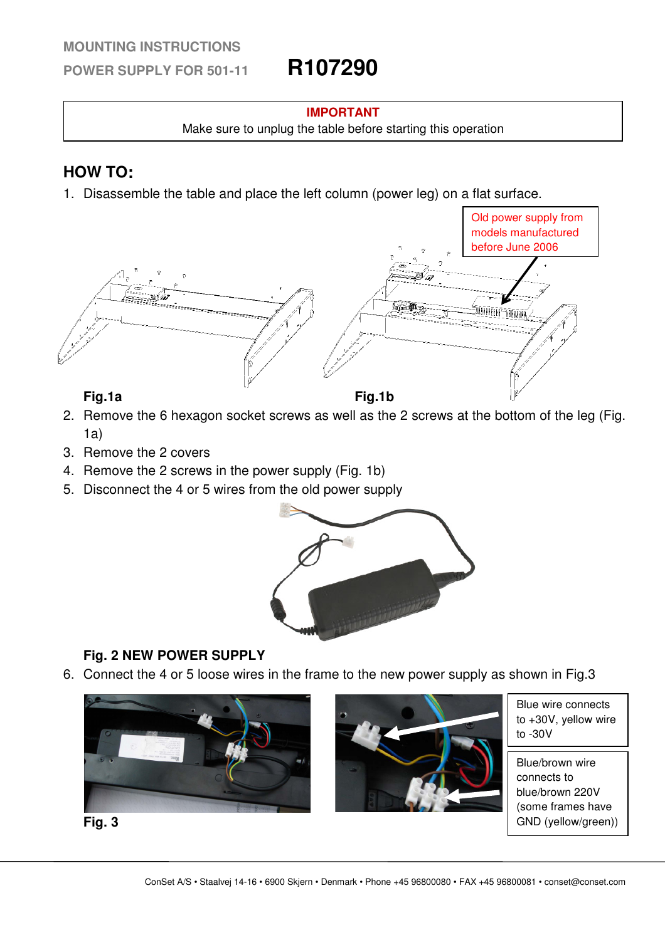### **MOUNTING INSTRUCTIONS**

**POWER SUPPLY FOR 501-11 R107290**

### **IMPORTANT**

Make sure to unplug the table before starting this operation

# **HOW TO:**

1. Disassemble the table and place the left column (power leg) on a flat surface.





- 2. Remove the 6 hexagon socket screws as well as the 2 screws at the bottom of the leg (Fig.  $1a)$
- 3. Remove the 2 covers
- 4. Remove the 2 screws in the power supply (Fig. 1b)
- 5. Disconnect the 4 or 5 wires from the old power supply



# **Fig. 2 NEW POWER SUPPLY**

6. Connect the 4 or 5 loose wires in the frame to the new power supply as shown in Fig.3





Blue wire connects to +30V, yellow wire to -30V

Blue/brown wire connects to blue/brown 220V (some frames have GND (yellow/green))

**Fig. 3**